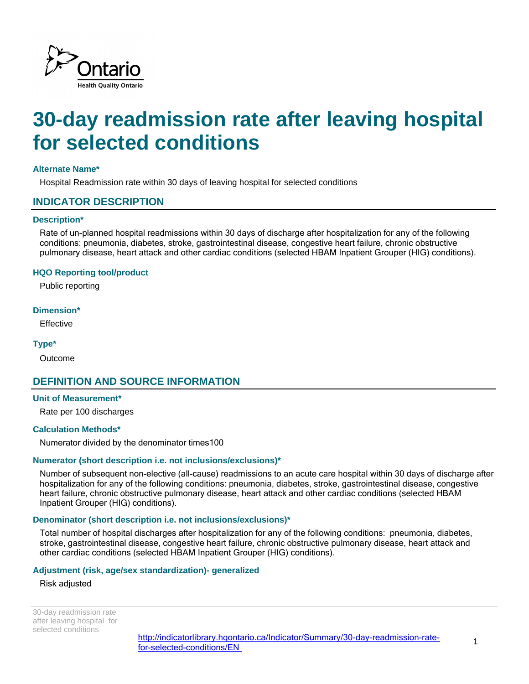

# **30-day readmission rate after leaving hospital for selected conditions**

## **Alternate Name\***

Hospital Readmission rate within 30 days of leaving hospital for selected conditions

# **INDICATOR DESCRIPTION**

#### **Description\***

Rate of un-planned hospital readmissions within 30 days of discharge after hospitalization for any of the following conditions: pneumonia, diabetes, stroke, gastrointestinal disease, congestive heart failure, chronic obstructive pulmonary disease, heart attack and other cardiac conditions (selected HBAM Inpatient Grouper (HIG) conditions).

#### **HQO Reporting tool/product**

Public reporting

#### **Dimension\***

**Effective** 

#### **Type\***

Outcome

# **DEFINITION AND SOURCE INFORMATION**

#### **Unit of Measurement\***

Rate per 100 discharges

#### **Calculation Methods\***

Numerator divided by the denominator times100

#### **Numerator (short description i.e. not inclusions/exclusions)\***

Number of subsequent non-elective (all-cause) readmissions to an acute care hospital within 30 days of discharge after hospitalization for any of the following conditions: pneumonia, diabetes, stroke, gastrointestinal disease, congestive heart failure, chronic obstructive pulmonary disease, heart attack and other cardiac conditions (selected HBAM Inpatient Grouper (HIG) conditions).

#### **Denominator (short description i.e. not inclusions/exclusions)\***

Total number of hospital discharges after hospitalization for any of the following conditions: pneumonia, diabetes, stroke, gastrointestinal disease, congestive heart failure, chronic obstructive pulmonary disease, heart attack and other cardiac conditions (selected HBAM Inpatient Grouper (HIG) conditions).

### **Adjustment (risk, age/sex standardization)- generalized**

#### Risk adjusted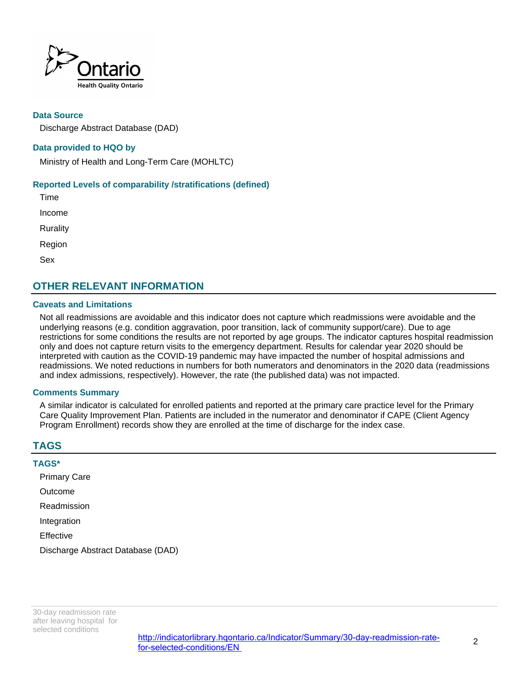

### **Data Source**

Discharge Abstract Database (DAD)

## **Data provided to HQO by**

Ministry of Health and Long-Term Care (MOHLTC)

#### **Reported Levels of comparability /stratifications (defined)**

Time Income **Rurality** Region Sex

# **OTHER RELEVANT INFORMATION**

#### **Caveats and Limitations**

Not all readmissions are avoidable and this indicator does not capture which readmissions were avoidable and the underlying reasons (e.g. condition aggravation, poor transition, lack of community support/care). Due to age restrictions for some conditions the results are not reported by age groups. The indicator captures hospital readmission only and does not capture return visits to the emergency department. Results for calendar year 2020 should be interpreted with caution as the COVID-19 pandemic may have impacted the number of hospital admissions and readmissions. We noted reductions in numbers for both numerators and denominators in the 2020 data (readmissions and index admissions, respectively). However, the rate (the published data) was not impacted.

#### **Comments Summary**

A similar indicator is calculated for enrolled patients and reported at the primary care practice level for the Primary Care Quality Improvement Plan. Patients are included in the numerator and denominator if CAPE (Client Agency Program Enrollment) records show they are enrolled at the time of discharge for the index case.

# **TAGS**

| <b>TAGS*</b>                      |  |  |
|-----------------------------------|--|--|
| <b>Primary Care</b>               |  |  |
| Outcome                           |  |  |
| Readmission                       |  |  |
| Integration                       |  |  |
| Effective                         |  |  |
| Discharge Abstract Database (DAD) |  |  |